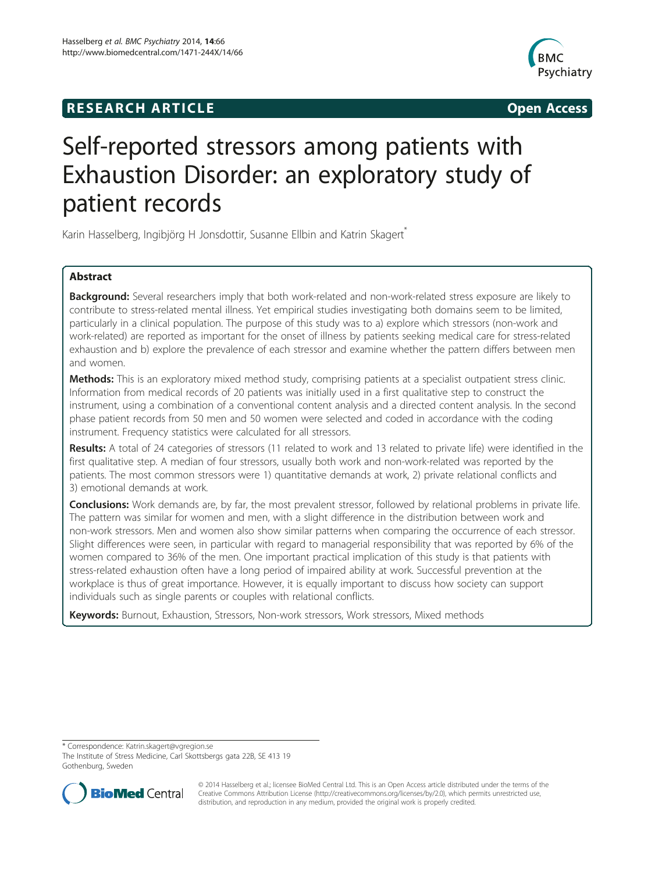## **RESEARCH ARTICLE Example 2014 The SEAR CH ACCESS**



# Self-reported stressors among patients with Exhaustion Disorder: an exploratory study of patient records

Karin Hasselberg, Ingibjörg H Jonsdottir, Susanne Ellbin and Katrin Skagert<sup>®</sup>

## Abstract

Background: Several researchers imply that both work-related and non-work-related stress exposure are likely to contribute to stress-related mental illness. Yet empirical studies investigating both domains seem to be limited, particularly in a clinical population. The purpose of this study was to a) explore which stressors (non-work and work-related) are reported as important for the onset of illness by patients seeking medical care for stress-related exhaustion and b) explore the prevalence of each stressor and examine whether the pattern differs between men and women.

Methods: This is an exploratory mixed method study, comprising patients at a specialist outpatient stress clinic. Information from medical records of 20 patients was initially used in a first qualitative step to construct the instrument, using a combination of a conventional content analysis and a directed content analysis. In the second phase patient records from 50 men and 50 women were selected and coded in accordance with the coding instrument. Frequency statistics were calculated for all stressors.

Results: A total of 24 categories of stressors (11 related to work and 13 related to private life) were identified in the first qualitative step. A median of four stressors, usually both work and non-work-related was reported by the patients. The most common stressors were 1) quantitative demands at work, 2) private relational conflicts and 3) emotional demands at work.

**Conclusions:** Work demands are, by far, the most prevalent stressor, followed by relational problems in private life. The pattern was similar for women and men, with a slight difference in the distribution between work and non-work stressors. Men and women also show similar patterns when comparing the occurrence of each stressor. Slight differences were seen, in particular with regard to managerial responsibility that was reported by 6% of the women compared to 36% of the men. One important practical implication of this study is that patients with stress-related exhaustion often have a long period of impaired ability at work. Successful prevention at the workplace is thus of great importance. However, it is equally important to discuss how society can support individuals such as single parents or couples with relational conflicts.

Keywords: Burnout, Exhaustion, Stressors, Non-work stressors, Work stressors, Mixed methods

\* Correspondence: [Katrin.skagert@vgregion.se](mailto:Katrin.skagert@vgregion.se)

The Institute of Stress Medicine, Carl Skottsbergs gata 22B, SE 413 19 Gothenburg, Sweden



© 2014 Hasselberg et al.; licensee BioMed Central Ltd. This is an Open Access article distributed under the terms of the Creative Commons Attribution License (<http://creativecommons.org/licenses/by/2.0>), which permits unrestricted use, distribution, and reproduction in any medium, provided the original work is properly credited.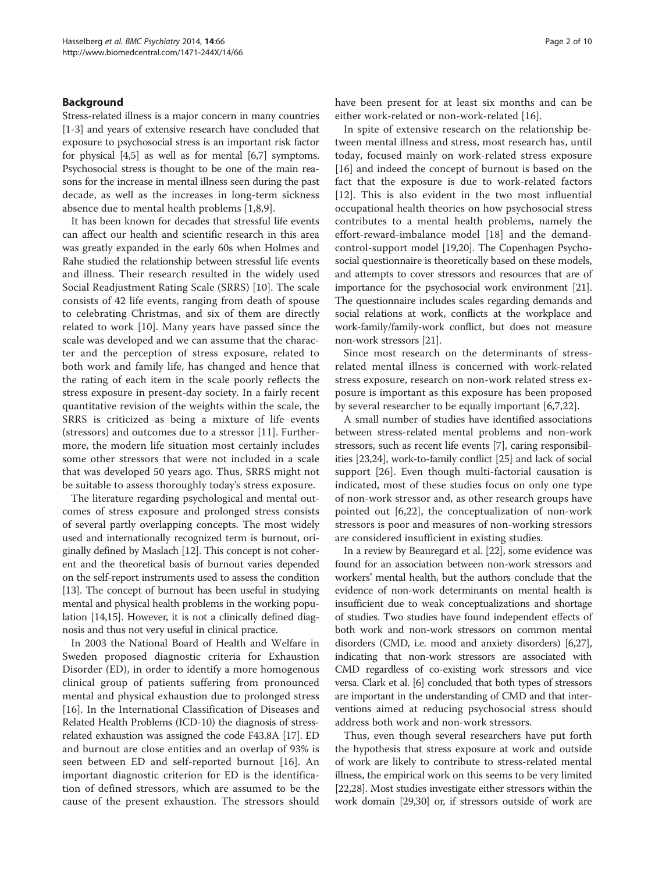## Background

Stress-related illness is a major concern in many countries [[1-3\]](#page-8-0) and years of extensive research have concluded that exposure to psychosocial stress is an important risk factor for physical [\[4,](#page-8-0)[5\]](#page-9-0) as well as for mental [\[6,7\]](#page-9-0) symptoms. Psychosocial stress is thought to be one of the main reasons for the increase in mental illness seen during the past decade, as well as the increases in long-term sickness absence due to mental health problems [\[1](#page-8-0),[8,9\]](#page-9-0).

It has been known for decades that stressful life events can affect our health and scientific research in this area was greatly expanded in the early 60s when Holmes and Rahe studied the relationship between stressful life events and illness. Their research resulted in the widely used Social Readjustment Rating Scale (SRRS) [[10](#page-9-0)]. The scale consists of 42 life events, ranging from death of spouse to celebrating Christmas, and six of them are directly related to work [\[10\]](#page-9-0). Many years have passed since the scale was developed and we can assume that the character and the perception of stress exposure, related to both work and family life, has changed and hence that the rating of each item in the scale poorly reflects the stress exposure in present-day society. In a fairly recent quantitative revision of the weights within the scale, the SRRS is criticized as being a mixture of life events (stressors) and outcomes due to a stressor [[11\]](#page-9-0). Furthermore, the modern life situation most certainly includes some other stressors that were not included in a scale that was developed 50 years ago. Thus, SRRS might not be suitable to assess thoroughly today's stress exposure.

The literature regarding psychological and mental outcomes of stress exposure and prolonged stress consists of several partly overlapping concepts. The most widely used and internationally recognized term is burnout, originally defined by Maslach [\[12\]](#page-9-0). This concept is not coherent and the theoretical basis of burnout varies depended on the self-report instruments used to assess the condition [[13](#page-9-0)]. The concept of burnout has been useful in studying mental and physical health problems in the working population [[14,15](#page-9-0)]. However, it is not a clinically defined diagnosis and thus not very useful in clinical practice.

In 2003 the National Board of Health and Welfare in Sweden proposed diagnostic criteria for Exhaustion Disorder (ED), in order to identify a more homogenous clinical group of patients suffering from pronounced mental and physical exhaustion due to prolonged stress [[16\]](#page-9-0). In the International Classification of Diseases and Related Health Problems (ICD-10) the diagnosis of stressrelated exhaustion was assigned the code F43.8A [\[17\]](#page-9-0). ED and burnout are close entities and an overlap of 93% is seen between ED and self-reported burnout [[16\]](#page-9-0). An important diagnostic criterion for ED is the identification of defined stressors, which are assumed to be the cause of the present exhaustion. The stressors should have been present for at least six months and can be either work-related or non-work-related [[16\]](#page-9-0).

In spite of extensive research on the relationship between mental illness and stress, most research has, until today, focused mainly on work-related stress exposure [[16\]](#page-9-0) and indeed the concept of burnout is based on the fact that the exposure is due to work-related factors [[12](#page-9-0)]. This is also evident in the two most influential occupational health theories on how psychosocial stress contributes to a mental health problems, namely the effort-reward-imbalance model [[18\]](#page-9-0) and the demandcontrol-support model [\[19,20\]](#page-9-0). The Copenhagen Psychosocial questionnaire is theoretically based on these models, and attempts to cover stressors and resources that are of importance for the psychosocial work environment [[21](#page-9-0)]. The questionnaire includes scales regarding demands and social relations at work, conflicts at the workplace and work-family/family-work conflict, but does not measure non-work stressors [[21](#page-9-0)].

Since most research on the determinants of stressrelated mental illness is concerned with work-related stress exposure, research on non-work related stress exposure is important as this exposure has been proposed by several researcher to be equally important [\[6](#page-9-0),[7,22\]](#page-9-0).

A small number of studies have identified associations between stress-related mental problems and non-work stressors, such as recent life events [\[7](#page-9-0)], caring responsibilities [[23,24\]](#page-9-0), work-to-family conflict [[25](#page-9-0)] and lack of social support [[26\]](#page-9-0). Even though multi-factorial causation is indicated, most of these studies focus on only one type of non-work stressor and, as other research groups have pointed out [\[6](#page-9-0),[22\]](#page-9-0), the conceptualization of non-work stressors is poor and measures of non-working stressors are considered insufficient in existing studies.

In a review by Beauregard et al. [[22](#page-9-0)], some evidence was found for an association between non-work stressors and workers' mental health, but the authors conclude that the evidence of non-work determinants on mental health is insufficient due to weak conceptualizations and shortage of studies. Two studies have found independent effects of both work and non-work stressors on common mental disorders (CMD, i.e. mood and anxiety disorders) [[6,27](#page-9-0)], indicating that non-work stressors are associated with CMD regardless of co-existing work stressors and vice versa. Clark et al. [\[6](#page-9-0)] concluded that both types of stressors are important in the understanding of CMD and that interventions aimed at reducing psychosocial stress should address both work and non-work stressors.

Thus, even though several researchers have put forth the hypothesis that stress exposure at work and outside of work are likely to contribute to stress-related mental illness, the empirical work on this seems to be very limited [[22,28](#page-9-0)]. Most studies investigate either stressors within the work domain [[29,30\]](#page-9-0) or, if stressors outside of work are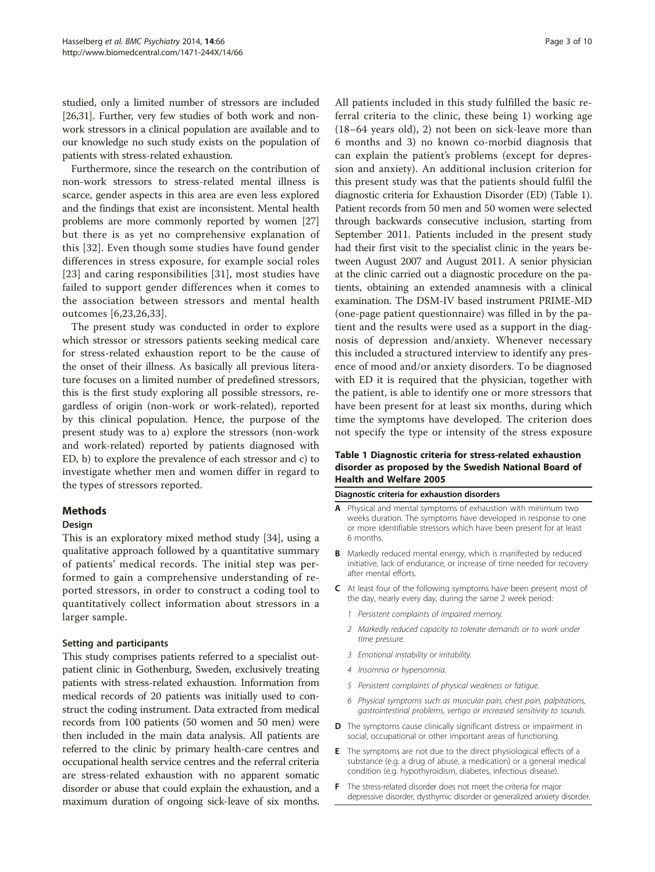<span id="page-2-0"></span>studied, only a limited number of stressors are included [[26,31](#page-9-0)]. Further, very few studies of both work and nonwork stressors in a clinical population are available and to our knowledge no such study exists on the population of patients with stress-related exhaustion.

Furthermore, since the research on the contribution of non-work stressors to stress-related mental illness is scarce, gender aspects in this area are even less explored and the findings that exist are inconsistent. Mental health problems are more commonly reported by women [[27](#page-9-0)] but there is as yet no comprehensive explanation of this [[32\]](#page-9-0). Even though some studies have found gender differences in stress exposure, for example social roles [[23](#page-9-0)] and caring responsibilities [\[31\]](#page-9-0), most studies have failed to support gender differences when it comes to the association between stressors and mental health outcomes [[6,23](#page-9-0),[26,33](#page-9-0)].

The present study was conducted in order to explore which stressor or stressors patients seeking medical care for stress-related exhaustion report to be the cause of the onset of their illness. As basically all previous literature focuses on a limited number of predefined stressors, this is the first study exploring all possible stressors, regardless of origin (non-work or work-related), reported by this clinical population. Hence, the purpose of the present study was to a) explore the stressors (non-work and work-related) reported by patients diagnosed with ED, b) to explore the prevalence of each stressor and c) to investigate whether men and women differ in regard to the types of stressors reported.

## Methods

## Design

This is an exploratory mixed method study [[34](#page-9-0)], using a qualitative approach followed by a quantitative summary of patients' medical records. The initial step was performed to gain a comprehensive understanding of reported stressors, in order to construct a coding tool to quantitatively collect information about stressors in a larger sample.

## Setting and participants

This study comprises patients referred to a specialist outpatient clinic in Gothenburg, Sweden, exclusively treating patients with stress-related exhaustion. Information from medical records of 20 patients was initially used to construct the coding instrument. Data extracted from medical records from 100 patients (50 women and 50 men) were then included in the main data analysis. All patients are referred to the clinic by primary health-care centres and occupational health service centres and the referral criteria are stress-related exhaustion with no apparent somatic disorder or abuse that could explain the exhaustion, and a maximum duration of ongoing sick-leave of six months. All patients included in this study fulfilled the basic referral criteria to the clinic, these being 1) working age (18–64 years old), 2) not been on sick-leave more than 6 months and 3) no known co-morbid diagnosis that can explain the patient's problems (except for depression and anxiety). An additional inclusion criterion for this present study was that the patients should fulfil the diagnostic criteria for Exhaustion Disorder (ED) (Table 1). Patient records from 50 men and 50 women were selected through backwards consecutive inclusion, starting from September 2011. Patients included in the present study had their first visit to the specialist clinic in the years between August 2007 and August 2011. A senior physician at the clinic carried out a diagnostic procedure on the patients, obtaining an extended anamnesis with a clinical examination. The DSM-IV based instrument PRIME-MD (one-page patient questionnaire) was filled in by the patient and the results were used as a support in the diagnosis of depression and/anxiety. Whenever necessary this included a structured interview to identify any presence of mood and/or anxiety disorders. To be diagnosed with ED it is required that the physician, together with the patient, is able to identify one or more stressors that have been present for at least six months, during which time the symptoms have developed. The criterion does not specify the type or intensity of the stress exposure

## Table 1 Diagnostic criteria for stress-related exhaustion disorder as proposed by the Swedish National Board of Health and Welfare 2005

#### Diagnostic criteria for exhaustion disorders

- A Physical and mental symptoms of exhaustion with minimum two weeks duration. The symptoms have developed in response to one or more identifiable stressors which have been present for at least 6 months.
- **B** Markedly reduced mental energy, which is manifested by reduced initiative, lack of endurance, or increase of time needed for recovery after mental efforts.
- C At least four of the following symptoms have been present most of the day, nearly every day, during the same 2 week period:
	- 1 Persistent complaints of impaired memory.
	- 2 Markedly reduced capacity to tolerate demands or to work under time pressure.
	- 3 Emotional instability or irritability.
	- 4 Insomnia or hypersomnia.
	- 5 Persistent complaints of physical weakness or fatigue.
	- 6 Physical symptoms such as muscular pain, chest pain, palpitations, gastrointestinal problems, vertigo or increased sensitivity to sounds.
- **D** The symptoms cause clinically significant distress or impairment in social, occupational or other important areas of functioning.
- E The symptoms are not due to the direct physiological effects of a substance (e.g. a drug of abuse, a medication) or a general medical condition (e.g. hypothyroidism, diabetes, infectious disease).
- F The stress-related disorder does not meet the criteria for major depressive disorder, dysthymic disorder or generalized anxiety disorder.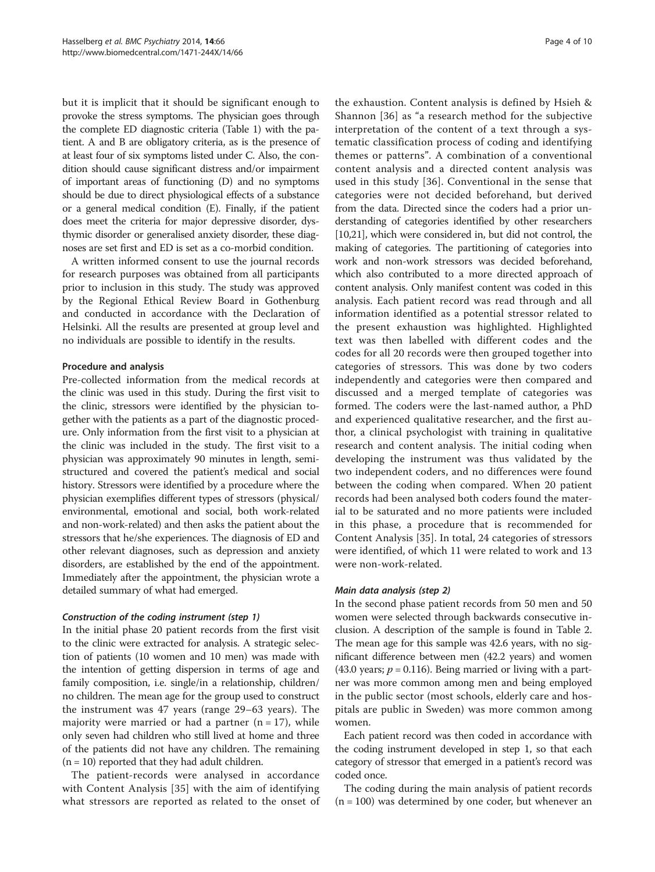but it is implicit that it should be significant enough to provoke the stress symptoms. The physician goes through the complete ED diagnostic criteria (Table [1\)](#page-2-0) with the patient. A and B are obligatory criteria, as is the presence of at least four of six symptoms listed under C. Also, the condition should cause significant distress and/or impairment of important areas of functioning (D) and no symptoms should be due to direct physiological effects of a substance or a general medical condition (E). Finally, if the patient does meet the criteria for major depressive disorder, dysthymic disorder or generalised anxiety disorder, these diagnoses are set first and ED is set as a co-morbid condition.

A written informed consent to use the journal records for research purposes was obtained from all participants prior to inclusion in this study. The study was approved by the Regional Ethical Review Board in Gothenburg and conducted in accordance with the Declaration of Helsinki. All the results are presented at group level and no individuals are possible to identify in the results.

## Procedure and analysis

Pre-collected information from the medical records at the clinic was used in this study. During the first visit to the clinic, stressors were identified by the physician together with the patients as a part of the diagnostic procedure. Only information from the first visit to a physician at the clinic was included in the study. The first visit to a physician was approximately 90 minutes in length, semistructured and covered the patient's medical and social history. Stressors were identified by a procedure where the physician exemplifies different types of stressors (physical/ environmental, emotional and social, both work-related and non-work-related) and then asks the patient about the stressors that he/she experiences. The diagnosis of ED and other relevant diagnoses, such as depression and anxiety disorders, are established by the end of the appointment. Immediately after the appointment, the physician wrote a detailed summary of what had emerged.

## Construction of the coding instrument (step 1)

In the initial phase 20 patient records from the first visit to the clinic were extracted for analysis. A strategic selection of patients (10 women and 10 men) was made with the intention of getting dispersion in terms of age and family composition, i.e. single/in a relationship, children/ no children. The mean age for the group used to construct the instrument was 47 years (range 29–63 years). The majority were married or had a partner  $(n = 17)$ , while only seven had children who still lived at home and three of the patients did not have any children. The remaining  $(n = 10)$  reported that they had adult children.

The patient-records were analysed in accordance with Content Analysis [[35](#page-9-0)] with the aim of identifying what stressors are reported as related to the onset of

the exhaustion. Content analysis is defined by Hsieh & Shannon [[36](#page-9-0)] as "a research method for the subjective interpretation of the content of a text through a systematic classification process of coding and identifying themes or patterns". A combination of a conventional content analysis and a directed content analysis was used in this study [[36\]](#page-9-0). Conventional in the sense that categories were not decided beforehand, but derived from the data. Directed since the coders had a prior understanding of categories identified by other researchers [[10,21](#page-9-0)], which were considered in, but did not control, the making of categories. The partitioning of categories into work and non-work stressors was decided beforehand, which also contributed to a more directed approach of content analysis. Only manifest content was coded in this analysis. Each patient record was read through and all information identified as a potential stressor related to the present exhaustion was highlighted. Highlighted text was then labelled with different codes and the codes for all 20 records were then grouped together into categories of stressors. This was done by two coders independently and categories were then compared and discussed and a merged template of categories was formed. The coders were the last-named author, a PhD and experienced qualitative researcher, and the first author, a clinical psychologist with training in qualitative research and content analysis. The initial coding when developing the instrument was thus validated by the two independent coders, and no differences were found between the coding when compared. When 20 patient records had been analysed both coders found the material to be saturated and no more patients were included in this phase, a procedure that is recommended for Content Analysis [[35\]](#page-9-0). In total, 24 categories of stressors were identified, of which 11 were related to work and 13 were non-work-related.

## Main data analysis (step 2)

In the second phase patient records from 50 men and 50 women were selected through backwards consecutive inclusion. A description of the sample is found in Table [2](#page-4-0). The mean age for this sample was 42.6 years, with no significant difference between men (42.2 years) and women (43.0 years;  $p = 0.116$ ). Being married or living with a partner was more common among men and being employed in the public sector (most schools, elderly care and hospitals are public in Sweden) was more common among women.

Each patient record was then coded in accordance with the coding instrument developed in step 1, so that each category of stressor that emerged in a patient's record was coded once.

The coding during the main analysis of patient records  $(n = 100)$  was determined by one coder, but whenever an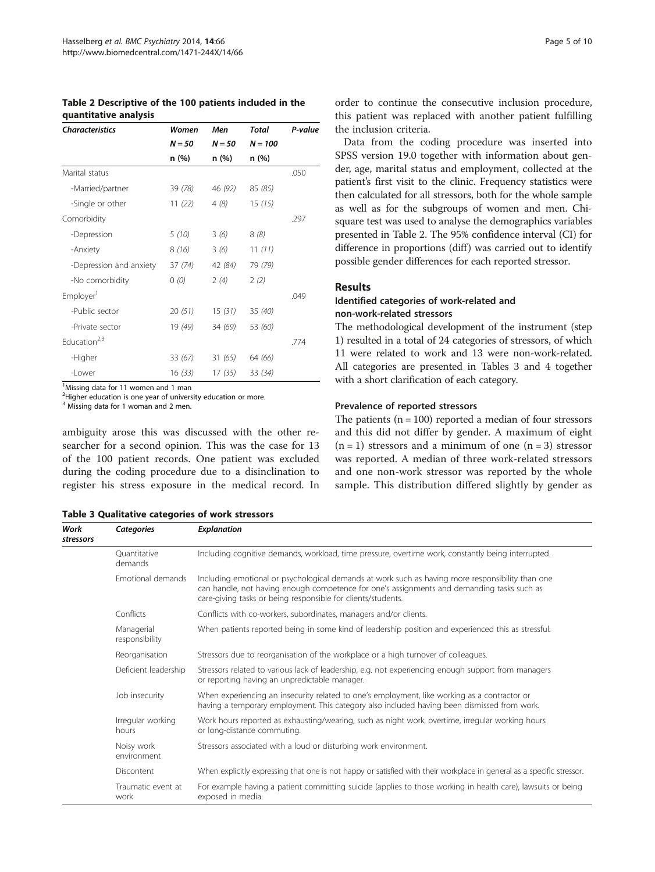<span id="page-4-0"></span>Table 2 Descriptive of the 100 patients included in the quantitative analysis

| <b>Characteristics</b>  | Women    | Men      | Total     | P-value |
|-------------------------|----------|----------|-----------|---------|
|                         | $N = 50$ | $N = 50$ | $N = 100$ |         |
|                         | n (%)    | n (%)    | n(%)      |         |
| Marital status          |          |          |           | .050    |
| -Married/partner        | 39 (78)  | 46 (92)  | 85 (85)   |         |
| -Single or other        | 11(22)   | 4(8)     | 15(15)    |         |
| Comorbidity             |          |          |           | .297    |
| -Depression             | 5(10)    | 3(6)     | 8(8)      |         |
| -Anxiety                | 8(16)    | 3(6)     | 11(11)    |         |
| -Depression and anxiety | 37 (74)  | 42 (84)  | 79 (79)   |         |
| -No comorbidity         | 0(0)     | 2(4)     | 2(2)      |         |
| Employer <sup>1</sup>   |          |          |           | .049    |
| -Public sector          | 20(51)   | 15(31)   | 35 (40)   |         |
| -Private sector         | 19 (49)  | 34 (69)  | 53 (60)   |         |
| Education $2,3$         |          |          |           | .774    |
| -Higher                 | 33 (67)  | 31(65)   | 64 (66)   |         |
| -Lower                  | 16(33)   | 17 (35)  | 33 (34)   |         |

<sup>1</sup> Missing data for 11 women and 1 man

<sup>2</sup>Higher education is one year of university education or more.

<sup>3</sup> Missing data for 1 woman and 2 men.

ambiguity arose this was discussed with the other researcher for a second opinion. This was the case for 13 of the 100 patient records. One patient was excluded during the coding procedure due to a disinclination to register his stress exposure in the medical record. In

order to continue the consecutive inclusion procedure, this patient was replaced with another patient fulfilling the inclusion criteria.

Data from the coding procedure was inserted into SPSS version 19.0 together with information about gender, age, marital status and employment, collected at the patient's first visit to the clinic. Frequency statistics were then calculated for all stressors, both for the whole sample as well as for the subgroups of women and men. Chisquare test was used to analyse the demographics variables presented in Table 2. The 95% confidence interval (CI) for difference in proportions (diff) was carried out to identify possible gender differences for each reported stressor.

## Results

## Identified categories of work-related and non-work-related stressors

The methodological development of the instrument (step 1) resulted in a total of 24 categories of stressors, of which 11 were related to work and 13 were non-work-related. All categories are presented in Tables 3 and [4](#page-5-0) together with a short clarification of each category.

## Prevalence of reported stressors

The patients  $(n = 100)$  reported a median of four stressors and this did not differ by gender. A maximum of eight  $(n = 1)$  stressors and a minimum of one  $(n = 3)$  stressor was reported. A median of three work-related stressors and one non-work stressor was reported by the whole sample. This distribution differed slightly by gender as

| Work<br>stressors | <b>Categories</b>            | <b>Explanation</b>                                                                                                                                                                                                                                             |
|-------------------|------------------------------|----------------------------------------------------------------------------------------------------------------------------------------------------------------------------------------------------------------------------------------------------------------|
|                   | Quantitative<br>demands      | Including cognitive demands, workload, time pressure, overtime work, constantly being interrupted.                                                                                                                                                             |
|                   | Emotional demands            | Including emotional or psychological demands at work such as having more responsibility than one<br>can handle, not having enough competence for one's assignments and demanding tasks such as<br>care-giving tasks or being responsible for clients/students. |
|                   | Conflicts                    | Conflicts with co-workers, subordinates, managers and/or clients.                                                                                                                                                                                              |
|                   | Managerial<br>responsibility | When patients reported being in some kind of leadership position and experienced this as stressful.                                                                                                                                                            |
|                   | Reorganisation               | Stressors due to reorganisation of the workplace or a high turnover of colleagues.                                                                                                                                                                             |
|                   | Deficient leadership         | Stressors related to various lack of leadership, e.g. not experiencing enough support from managers<br>or reporting having an unpredictable manager.                                                                                                           |
|                   | Job insecurity               | When experiencing an insecurity related to one's employment, like working as a contractor or<br>having a temporary employment. This category also included having been dismissed from work.                                                                    |
|                   | Irregular working<br>hours   | Work hours reported as exhausting/wearing, such as night work, overtime, irregular working hours<br>or long-distance commuting.                                                                                                                                |
|                   | Noisy work<br>environment    | Stressors associated with a loud or disturbing work environment.                                                                                                                                                                                               |
|                   | Discontent                   | When explicitly expressing that one is not happy or satisfied with their workplace in general as a specific stressor.                                                                                                                                          |
|                   | Traumatic event at<br>work   | For example having a patient committing suicide (applies to those working in health care), lawsuits or being<br>exposed in media.                                                                                                                              |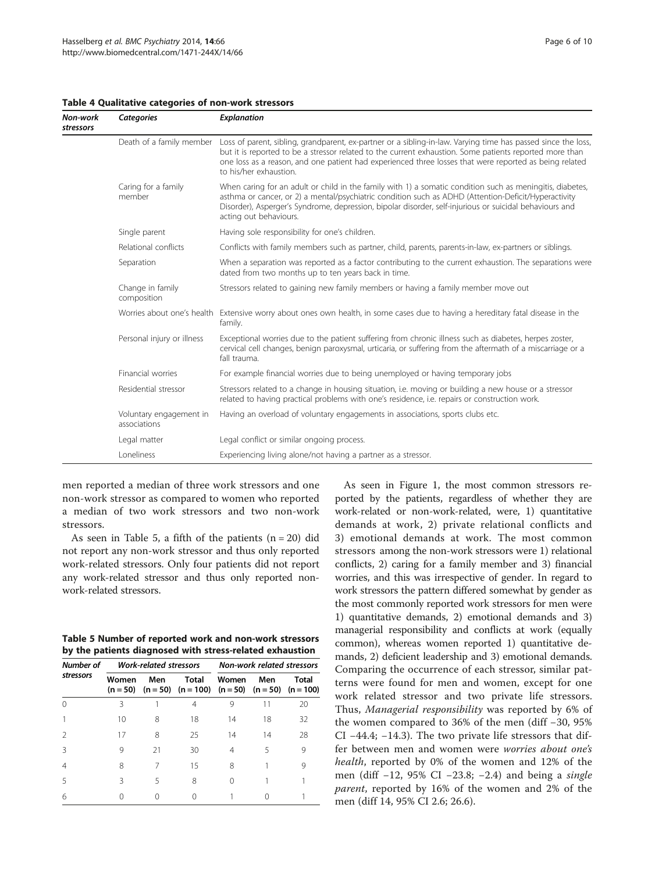| Non-work<br>stressors | <b>Categories</b>                       | Explanation                                                                                                                                                                                                                                                                                                                                                  |
|-----------------------|-----------------------------------------|--------------------------------------------------------------------------------------------------------------------------------------------------------------------------------------------------------------------------------------------------------------------------------------------------------------------------------------------------------------|
|                       | Death of a family member                | Loss of parent, sibling, grandparent, ex-partner or a sibling-in-law. Varying time has passed since the loss,<br>but it is reported to be a stressor related to the current exhaustion. Some patients reported more than<br>one loss as a reason, and one patient had experienced three losses that were reported as being related<br>to his/her exhaustion. |
|                       | Caring for a family<br>member           | When caring for an adult or child in the family with 1) a somatic condition such as meningitis, diabetes,<br>asthma or cancer, or 2) a mental/psychiatric condition such as ADHD (Attention-Deficit/Hyperactivity<br>Disorder), Asperger's Syndrome, depression, bipolar disorder, self-injurious or suicidal behaviours and<br>acting out behaviours.       |
|                       | Single parent                           | Having sole responsibility for one's children.                                                                                                                                                                                                                                                                                                               |
|                       | Relational conflicts                    | Conflicts with family members such as partner, child, parents, parents-in-law, ex-partners or siblings.                                                                                                                                                                                                                                                      |
|                       | Separation                              | When a separation was reported as a factor contributing to the current exhaustion. The separations were<br>dated from two months up to ten years back in time.                                                                                                                                                                                               |
|                       | Change in family<br>composition         | Stressors related to gaining new family members or having a family member move out                                                                                                                                                                                                                                                                           |
|                       |                                         | Worries about one's health Extensive worry about ones own health, in some cases due to having a hereditary fatal disease in the<br>family.                                                                                                                                                                                                                   |
|                       | Personal injury or illness              | Exceptional worries due to the patient suffering from chronic illness such as diabetes, herpes zoster,<br>cervical cell changes, benign paroxysmal, urticaria, or suffering from the aftermath of a miscarriage or a<br>fall trauma.                                                                                                                         |
|                       | Financial worries                       | For example financial worries due to being unemployed or having temporary jobs                                                                                                                                                                                                                                                                               |
|                       | Residential stressor                    | Stressors related to a change in housing situation, i.e. moving or building a new house or a stressor<br>related to having practical problems with one's residence, i.e. repairs or construction work.                                                                                                                                                       |
|                       | Voluntary engagement in<br>associations | Having an overload of voluntary engagements in associations, sports clubs etc.                                                                                                                                                                                                                                                                               |
|                       | Legal matter                            | Legal conflict or similar ongoing process.                                                                                                                                                                                                                                                                                                                   |
|                       | Loneliness                              | Experiencing living alone/not having a partner as a stressor.                                                                                                                                                                                                                                                                                                |

<span id="page-5-0"></span>Table 4 Qualitative categories of non-work stressors

men reported a median of three work stressors and one non-work stressor as compared to women who reported a median of two work stressors and two non-work stressors.

As seen in Table 5, a fifth of the patients  $(n = 20)$  did not report any non-work stressor and thus only reported work-related stressors. Only four patients did not report any work-related stressor and thus only reported nonwork-related stressors.

Table 5 Number of reported work and non-work stressors by the patients diagnosed with stress-related exhaustion

| Number of<br>stressors |                     |     |                                                                   | Work-related stressors Mon-work related stressors |     |       |
|------------------------|---------------------|-----|-------------------------------------------------------------------|---------------------------------------------------|-----|-------|
|                        | Women<br>$(n = 50)$ | Men | Total<br>$(n = 50)$ $(n = 100)$ $(n = 50)$ $(n = 50)$ $(n = 100)$ | Women                                             | Men | Total |
| $\bigcap$              | ζ                   |     | 4                                                                 | 9                                                 | 11  | 20    |
|                        | 10                  | 8   | 18                                                                | 14                                                | 18  | 32    |
| 2                      | 17                  | 8   | 25                                                                | 14                                                | 14  | 28    |
| Β                      | 9                   | 21  | 30                                                                | 4                                                 | 5   | 9     |
| 4                      | 8                   | 7   | 15                                                                | 8                                                 |     | 9     |
| 5                      | ζ                   | 5   | 8                                                                 | $\cap$                                            |     |       |
| 6                      | ∩                   |     |                                                                   |                                                   |     |       |

As seen in Figure [1](#page-6-0), the most common stressors reported by the patients, regardless of whether they are work-related or non-work-related, were, 1) quantitative demands at work, 2) private relational conflicts and 3) emotional demands at work. The most common stressors among the non-work stressors were 1) relational conflicts, 2) caring for a family member and 3) financial worries, and this was irrespective of gender. In regard to work stressors the pattern differed somewhat by gender as the most commonly reported work stressors for men were 1) quantitative demands, 2) emotional demands and 3) managerial responsibility and conflicts at work (equally common), whereas women reported 1) quantitative demands, 2) deficient leadership and 3) emotional demands. Comparing the occurrence of each stressor, similar patterns were found for men and women, except for one work related stressor and two private life stressors. Thus, Managerial responsibility was reported by 6% of the women compared to 36% of the men (diff −30, 95% CI −44.4; −14.3). The two private life stressors that differ between men and women were worries about one's health, reported by 0% of the women and 12% of the men (diff <sup>−</sup>12, 95% CI <sup>−</sup>23.8; <sup>−</sup>2.4) and being a single parent, reported by 16% of the women and 2% of the men (diff 14, 95% CI 2.6; 26.6).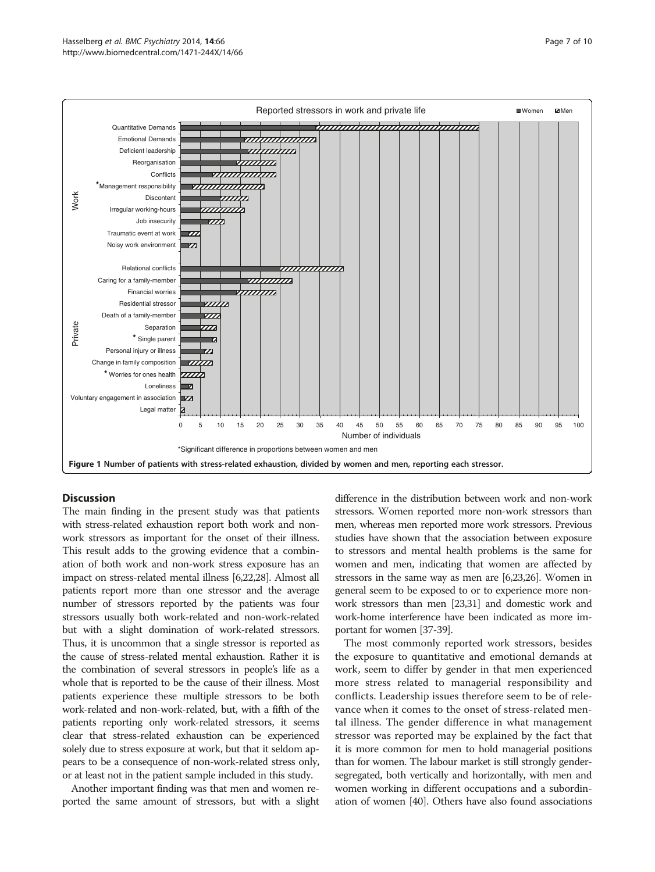<span id="page-6-0"></span>

## Discussion

The main finding in the present study was that patients with stress-related exhaustion report both work and nonwork stressors as important for the onset of their illness. This result adds to the growing evidence that a combination of both work and non-work stress exposure has an impact on stress-related mental illness [\[6,22,28\]](#page-9-0). Almost all patients report more than one stressor and the average number of stressors reported by the patients was four stressors usually both work-related and non-work-related but with a slight domination of work-related stressors. Thus, it is uncommon that a single stressor is reported as the cause of stress-related mental exhaustion. Rather it is the combination of several stressors in people's life as a whole that is reported to be the cause of their illness. Most patients experience these multiple stressors to be both work-related and non-work-related, but, with a fifth of the patients reporting only work-related stressors, it seems clear that stress-related exhaustion can be experienced solely due to stress exposure at work, but that it seldom appears to be a consequence of non-work-related stress only, or at least not in the patient sample included in this study.

Another important finding was that men and women reported the same amount of stressors, but with a slight difference in the distribution between work and non-work stressors. Women reported more non-work stressors than men, whereas men reported more work stressors. Previous studies have shown that the association between exposure to stressors and mental health problems is the same for women and men, indicating that women are affected by stressors in the same way as men are [[6,23,26](#page-9-0)]. Women in general seem to be exposed to or to experience more nonwork stressors than men [\[23,31](#page-9-0)] and domestic work and work-home interference have been indicated as more important for women [[37-39\]](#page-9-0).

The most commonly reported work stressors, besides the exposure to quantitative and emotional demands at work, seem to differ by gender in that men experienced more stress related to managerial responsibility and conflicts. Leadership issues therefore seem to be of relevance when it comes to the onset of stress-related mental illness. The gender difference in what management stressor was reported may be explained by the fact that it is more common for men to hold managerial positions than for women. The labour market is still strongly gendersegregated, both vertically and horizontally, with men and women working in different occupations and a subordination of women [\[40\]](#page-9-0). Others have also found associations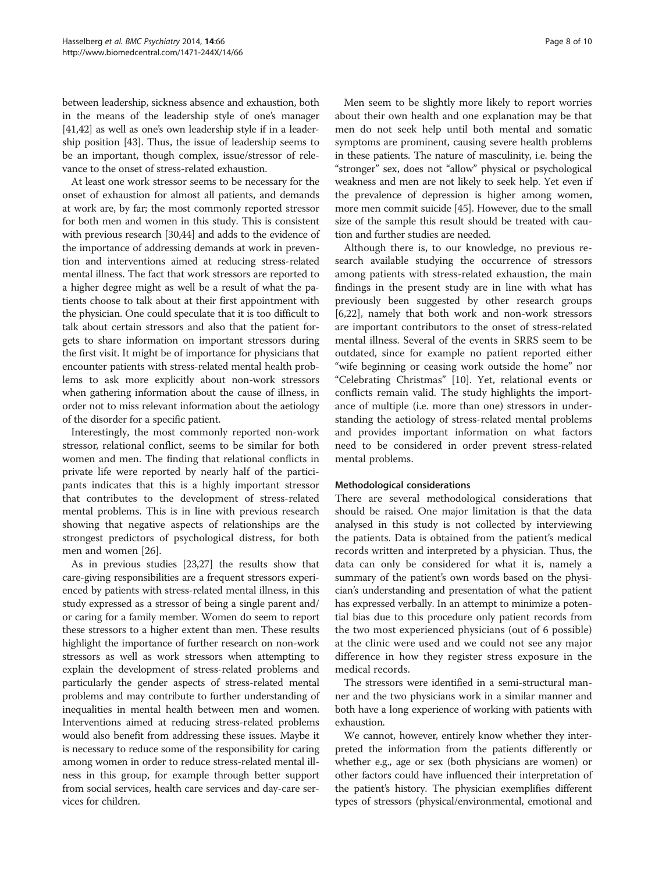between leadership, sickness absence and exhaustion, both in the means of the leadership style of one's manager [[41,42](#page-9-0)] as well as one's own leadership style if in a leadership position [[43](#page-9-0)]. Thus, the issue of leadership seems to be an important, though complex, issue/stressor of relevance to the onset of stress-related exhaustion.

At least one work stressor seems to be necessary for the onset of exhaustion for almost all patients, and demands at work are, by far; the most commonly reported stressor for both men and women in this study. This is consistent with previous research [\[30,44](#page-9-0)] and adds to the evidence of the importance of addressing demands at work in prevention and interventions aimed at reducing stress-related mental illness. The fact that work stressors are reported to a higher degree might as well be a result of what the patients choose to talk about at their first appointment with the physician. One could speculate that it is too difficult to talk about certain stressors and also that the patient forgets to share information on important stressors during the first visit. It might be of importance for physicians that encounter patients with stress-related mental health problems to ask more explicitly about non-work stressors when gathering information about the cause of illness, in order not to miss relevant information about the aetiology of the disorder for a specific patient.

Interestingly, the most commonly reported non-work stressor, relational conflict, seems to be similar for both women and men. The finding that relational conflicts in private life were reported by nearly half of the participants indicates that this is a highly important stressor that contributes to the development of stress-related mental problems. This is in line with previous research showing that negative aspects of relationships are the strongest predictors of psychological distress, for both men and women [[26\]](#page-9-0).

As in previous studies [\[23,27\]](#page-9-0) the results show that care-giving responsibilities are a frequent stressors experienced by patients with stress-related mental illness, in this study expressed as a stressor of being a single parent and/ or caring for a family member. Women do seem to report these stressors to a higher extent than men. These results highlight the importance of further research on non-work stressors as well as work stressors when attempting to explain the development of stress-related problems and particularly the gender aspects of stress-related mental problems and may contribute to further understanding of inequalities in mental health between men and women. Interventions aimed at reducing stress-related problems would also benefit from addressing these issues. Maybe it is necessary to reduce some of the responsibility for caring among women in order to reduce stress-related mental illness in this group, for example through better support from social services, health care services and day-care services for children.

Men seem to be slightly more likely to report worries about their own health and one explanation may be that men do not seek help until both mental and somatic symptoms are prominent, causing severe health problems in these patients. The nature of masculinity, i.e. being the "stronger" sex, does not "allow" physical or psychological weakness and men are not likely to seek help. Yet even if the prevalence of depression is higher among women, more men commit suicide [\[45\]](#page-9-0). However, due to the small size of the sample this result should be treated with caution and further studies are needed.

Although there is, to our knowledge, no previous research available studying the occurrence of stressors among patients with stress-related exhaustion, the main findings in the present study are in line with what has previously been suggested by other research groups [[6,22\]](#page-9-0), namely that both work and non-work stressors are important contributors to the onset of stress-related mental illness. Several of the events in SRRS seem to be outdated, since for example no patient reported either "wife beginning or ceasing work outside the home" nor "Celebrating Christmas" [\[10\]](#page-9-0). Yet, relational events or conflicts remain valid. The study highlights the importance of multiple (i.e. more than one) stressors in understanding the aetiology of stress-related mental problems and provides important information on what factors need to be considered in order prevent stress-related mental problems.

## Methodological considerations

There are several methodological considerations that should be raised. One major limitation is that the data analysed in this study is not collected by interviewing the patients. Data is obtained from the patient's medical records written and interpreted by a physician. Thus, the data can only be considered for what it is, namely a summary of the patient's own words based on the physician's understanding and presentation of what the patient has expressed verbally. In an attempt to minimize a potential bias due to this procedure only patient records from the two most experienced physicians (out of 6 possible) at the clinic were used and we could not see any major difference in how they register stress exposure in the medical records.

The stressors were identified in a semi-structural manner and the two physicians work in a similar manner and both have a long experience of working with patients with exhaustion.

We cannot, however, entirely know whether they interpreted the information from the patients differently or whether e.g., age or sex (both physicians are women) or other factors could have influenced their interpretation of the patient's history. The physician exemplifies different types of stressors (physical/environmental, emotional and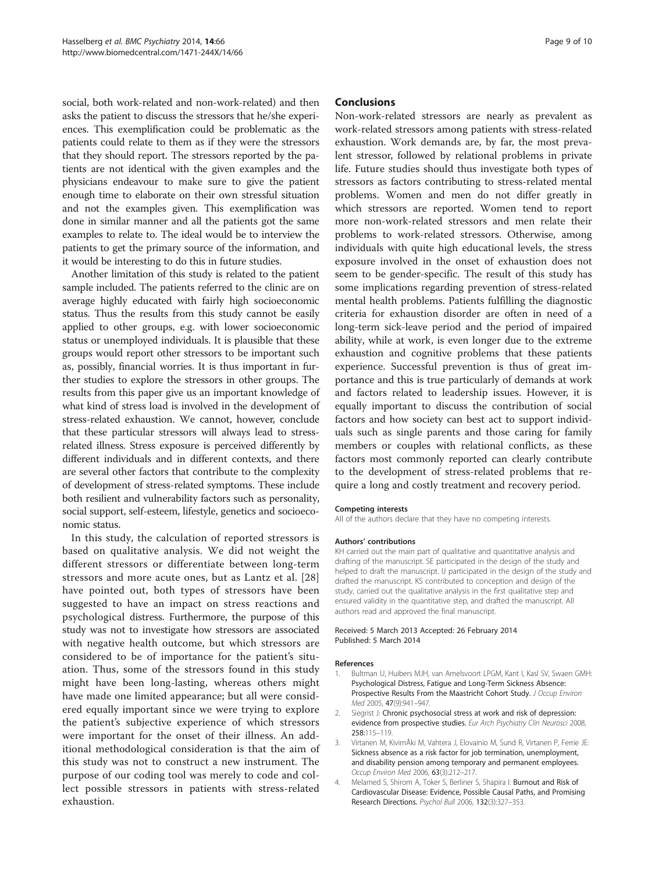<span id="page-8-0"></span>social, both work-related and non-work-related) and then asks the patient to discuss the stressors that he/she experiences. This exemplification could be problematic as the patients could relate to them as if they were the stressors that they should report. The stressors reported by the patients are not identical with the given examples and the physicians endeavour to make sure to give the patient enough time to elaborate on their own stressful situation and not the examples given. This exemplification was done in similar manner and all the patients got the same examples to relate to. The ideal would be to interview the patients to get the primary source of the information, and it would be interesting to do this in future studies.

Another limitation of this study is related to the patient sample included. The patients referred to the clinic are on average highly educated with fairly high socioeconomic status. Thus the results from this study cannot be easily applied to other groups, e.g. with lower socioeconomic status or unemployed individuals. It is plausible that these groups would report other stressors to be important such as, possibly, financial worries. It is thus important in further studies to explore the stressors in other groups. The results from this paper give us an important knowledge of what kind of stress load is involved in the development of stress-related exhaustion. We cannot, however, conclude that these particular stressors will always lead to stressrelated illness. Stress exposure is perceived differently by different individuals and in different contexts, and there are several other factors that contribute to the complexity of development of stress-related symptoms. These include both resilient and vulnerability factors such as personality, social support, self-esteem, lifestyle, genetics and socioeconomic status.

In this study, the calculation of reported stressors is based on qualitative analysis. We did not weight the different stressors or differentiate between long-term stressors and more acute ones, but as Lantz et al. [\[28](#page-9-0)] have pointed out, both types of stressors have been suggested to have an impact on stress reactions and psychological distress. Furthermore, the purpose of this study was not to investigate how stressors are associated with negative health outcome, but which stressors are considered to be of importance for the patient's situation. Thus, some of the stressors found in this study might have been long-lasting, whereas others might have made one limited appearance; but all were considered equally important since we were trying to explore the patient's subjective experience of which stressors were important for the onset of their illness. An additional methodological consideration is that the aim of this study was not to construct a new instrument. The purpose of our coding tool was merely to code and collect possible stressors in patients with stress-related exhaustion.

## Conclusions

Non-work-related stressors are nearly as prevalent as work-related stressors among patients with stress-related exhaustion. Work demands are, by far, the most prevalent stressor, followed by relational problems in private life. Future studies should thus investigate both types of stressors as factors contributing to stress-related mental problems. Women and men do not differ greatly in which stressors are reported. Women tend to report more non-work-related stressors and men relate their problems to work-related stressors. Otherwise, among individuals with quite high educational levels, the stress exposure involved in the onset of exhaustion does not seem to be gender-specific. The result of this study has some implications regarding prevention of stress-related mental health problems. Patients fulfilling the diagnostic criteria for exhaustion disorder are often in need of a long-term sick-leave period and the period of impaired ability, while at work, is even longer due to the extreme exhaustion and cognitive problems that these patients experience. Successful prevention is thus of great importance and this is true particularly of demands at work and factors related to leadership issues. However, it is equally important to discuss the contribution of social factors and how society can best act to support individuals such as single parents and those caring for family members or couples with relational conflicts, as these factors most commonly reported can clearly contribute to the development of stress-related problems that require a long and costly treatment and recovery period.

#### Competing interests

All of the authors declare that they have no competing interests.

#### Authors' contributions

KH carried out the main part of qualitative and quantitative analysis and drafting of the manuscript. SE participated in the design of the study and helped to draft the manuscript. IJ participated in the design of the study and drafted the manuscript. KS contributed to conception and design of the study, carried out the qualitative analysis in the first qualitative step and ensured validity in the quantitative step, and drafted the manuscript. All authors read and approved the final manuscript.

#### Received: 5 March 2013 Accepted: 26 February 2014 Published: 5 March 2014

#### References

- 1. Bultman U, Huibers MJH, van Amelsvoort LPGM, Kant I, Kasl SV, Swaen GMH: Psychological Distress, Fatigue and Long-Term Sickness Absence: Prospective Results From the Maastricht Cohort Study. J Occup Environ Med 2005, 47(9):941–947.
- 2. Siegrist J: Chronic psychosocial stress at work and risk of depression: evidence from prospective studies. Eur Arch Psychiatry Clin Neurosci 2008, 258:115–119.
- 3. Virtanen M, KivimÃki M, Vahtera J, Elovainio M, Sund R, Virtanen P, Ferrie JE: Sickness absence as a risk factor for job termination, unemployment, and disability pension among temporary and permanent employees. Occup Environ Med 2006, 63(3):212–217.
- 4. Melamed S, Shirom A, Toker S, Berliner S, Shapira I: Burnout and Risk of Cardiovascular Disease: Evidence, Possible Causal Paths, and Promising Research Directions. Psychol Bull 2006, 132(3):327–353.